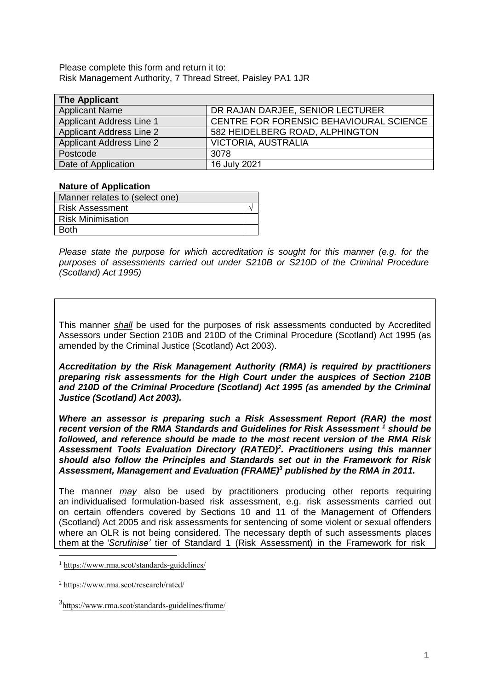Please complete this form and return it to: Risk Management Authority, 7 Thread Street, Paisley PA1 1JR

| <b>The Applicant</b>            |                                         |
|---------------------------------|-----------------------------------------|
| <b>Applicant Name</b>           | DR RAJAN DARJEE, SENIOR LECTURER        |
| <b>Applicant Address Line 1</b> | CENTRE FOR FORENSIC BEHAVIOURAL SCIENCE |
| <b>Applicant Address Line 2</b> | 582 HEIDELBERG ROAD, ALPHINGTON         |
| <b>Applicant Address Line 2</b> | VICTORIA, AUSTRALIA                     |
| Postcode                        | 3078                                    |
| Date of Application             | 16 July 2021                            |

#### **Nature of Application**

| Manner relates to (select one) |  |
|--------------------------------|--|
| <b>Risk Assessment</b>         |  |
| <b>Risk Minimisation</b>       |  |
| <b>Roth</b>                    |  |

*Please state the purpose for which accreditation is sought for this manner (e.g. for the purposes of assessments carried out under S210B or S210D of the Criminal Procedure (Scotland) Act 1995)*

This manner *shall* be used for the purposes of risk assessments conducted by Accredited Assessors under Section 210B and 210D of the Criminal Procedure (Scotland) Act 1995 (as amended by the Criminal Justice (Scotland) Act 2003).

*Accreditation by the Risk Management Authority (RMA) is required by practitioners preparing risk assessments for the High Court under the auspices of Section 210B and 210D of the Criminal Procedure (Scotland) Act 1995 (as amended by the Criminal Justice (Scotland) Act 2003).* 

*Where an assessor is preparing such a Risk Assessment Report (RAR) the most*  recent version of the RMA Standards and Guidelines for Risk Assessment<sup>1</sup> should be *followed, and reference should be made to the most recent version of the RMA Risk Assessment Tools Evaluation Directory (RATED)<sup>2</sup> . Practitioners using this manner should also follow the Principles and Standards set out in the Framework for Risk Assessment, Management and Evaluation (FRAME)<sup>3</sup> published by the RMA in 2011.* 

The manner *may* also be used by practitioners producing other reports requiring an individualised formulation-based risk assessment, e.g. risk assessments carried out on certain offenders covered by Sections 10 and 11 of the Management of Offenders (Scotland) Act 2005 and risk assessments for sentencing of some violent or sexual offenders where an OLR is not being considered. The necessary depth of such assessments places them at the *'Scrutinise'* tier of Standard 1 (Risk Assessment) in the Framework for risk

<sup>1</sup> https://www.rma.scot/standards-guidelines/

<sup>2</sup> https://www.rma.scot/research/rated/

<sup>3</sup> https://www.rma.scot/standards-guidelines/frame/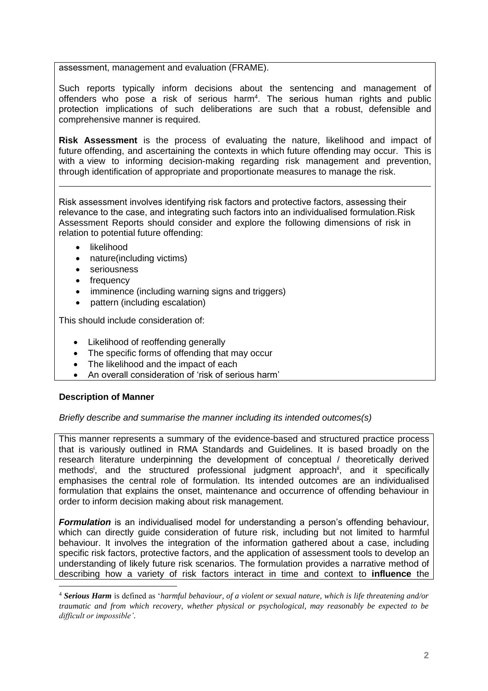## assessment, management and evaluation (FRAME).

Such reports typically inform decisions about the sentencing and management of offenders who pose a risk of serious harm<sup>4</sup>. The serious human rights and public protection implications of such deliberations are such that a robust, defensible and comprehensive manner is required.

**Risk Assessment** is the process of evaluating the nature, likelihood and impact of future offending, and ascertaining the contexts in which future offending may occur. This is with a view to informing decision-making regarding risk management and prevention, through identification of appropriate and proportionate measures to manage the risk.

Risk assessment involves identifying risk factors and protective factors, assessing their relevance to the case, and integrating such factors into an individualised formulation.Risk Assessment Reports should consider and explore the following dimensions of risk in relation to potential future offending:

- likelihood
- nature(including victims)
- seriousness
- frequency
- imminence (including warning signs and triggers)
- pattern (including escalation)

This should include consideration of:

- Likelihood of reoffending generally
- The specific forms of offending that may occur
- The likelihood and the impact of each
- An overall consideration of 'risk of serious harm'

# **Description of Manner**

### *Briefly describe and summarise the manner including its intended outcomes(s)*

This manner represents a summary of the evidence-based and structured practice process that is variously outlined in RMA Standards and Guidelines. It is based broadly on the research literature underpinning the development of conceptual / theoretically derived methods<sup>i</sup>, and the structured professional judgment approach<sup>ii</sup>, and it specifically emphasises the central role of formulation. Its intended outcomes are an individualised formulation that explains the onset, maintenance and occurrence of offending behaviour in order to inform decision making about risk management.

*Formulation* is an individualised model for understanding a person's offending behaviour, which can directly guide consideration of future risk, including but not limited to harmful behaviour. It involves the integration of the information gathered about a case, including specific risk factors, protective factors, and the application of assessment tools to develop an understanding of likely future risk scenarios. The formulation provides a narrative method of describing how a variety of risk factors interact in time and context to **influence** the

<sup>4</sup> *Serious Harm* is defined as '*harmful behaviour, of a violent or sexual nature, which is life threatening and/or traumatic and from which recovery, whether physical or psychological, may reasonably be expected to be difficult or impossible'*.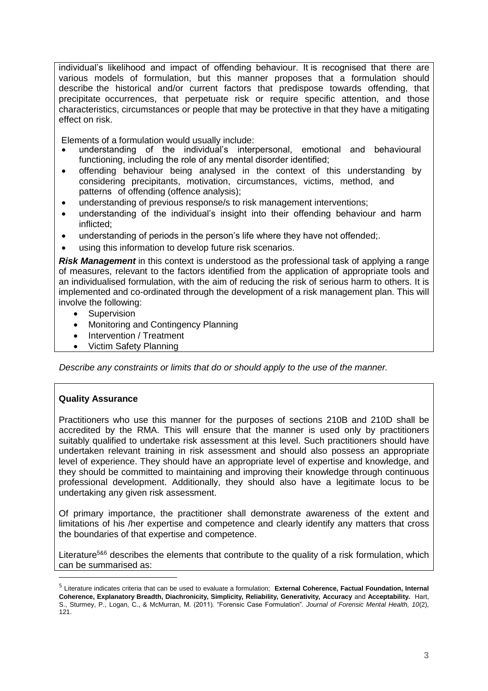individual's likelihood and impact of offending behaviour. It is recognised that there are various models of formulation, but this manner proposes that a formulation should describe the historical and/or current factors that predispose towards offending, that precipitate occurrences, that perpetuate risk or require specific attention, and those characteristics, circumstances or people that may be protective in that they have a mitigating effect on risk.

Elements of a formulation would usually include:

- understanding of the individual's interpersonal, emotional and behavioural functioning, including the role of any mental disorder identified;
- offending behaviour being analysed in the context of this understanding by considering precipitants, motivation, circumstances, victims, method, and patterns of offending (offence analysis);
- understanding of previous response/s to risk management interventions;
- understanding of the individual's insight into their offending behaviour and harm inflicted;
- understanding of periods in the person's life where they have not offended;.
- using this information to develop future risk scenarios.

*Risk Management* in this context is understood as the professional task of applying a range of measures, relevant to the factors identified from the application of appropriate tools and an individualised formulation, with the aim of reducing the risk of serious harm to others. It is implemented and co-ordinated through the development of a risk management plan. This will involve the following:

- Supervision
- Monitoring and Contingency Planning
- Intervention / Treatment
- Victim Safety Planning

*Describe any constraints or limits that do or should apply to the use of the manner.*

### **Quality Assurance**

Practitioners who use this manner for the purposes of sections 210B and 210D shall be accredited by the RMA. This will ensure that the manner is used only by practitioners suitably qualified to undertake risk assessment at this level. Such practitioners should have undertaken relevant training in risk assessment and should also possess an appropriate level of experience. They should have an appropriate level of expertise and knowledge, and they should be committed to maintaining and improving their knowledge through continuous professional development. Additionally, they should also have a legitimate locus to be undertaking any given risk assessment.

Of primary importance, the practitioner shall demonstrate awareness of the extent and limitations of his /her expertise and competence and clearly identify any matters that cross the boundaries of that expertise and competence.

Literature<sup>5&6</sup> describes the elements that contribute to the quality of a risk formulation, which can be summarised as:

<sup>5</sup> Literature indicates criteria that can be used to evaluate a formulation; **External Coherence, Factual Foundation, Internal Coherence, Explanatory Breadth, Diachronicity, Simplicity, Reliability, Generativity, Accuracy** and **Acceptability.** Hart, S., Sturmey, P., Logan, C., & McMurran, M. (2011). "Forensic Case Formulation". *Journal of Forensic Mental Health, 10*(2), 121.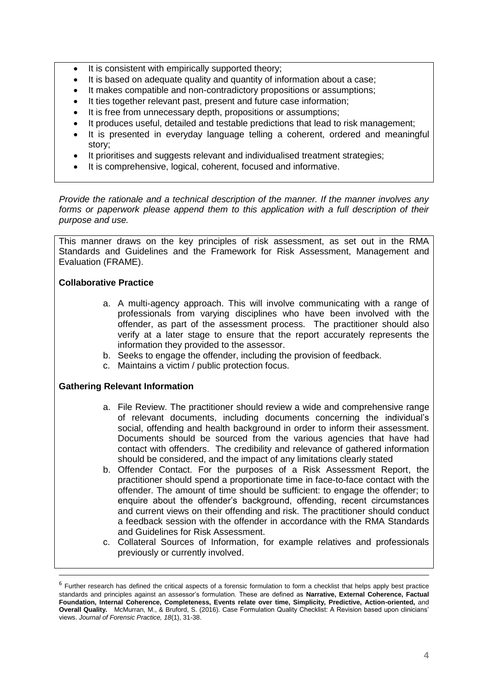- It is consistent with empirically supported theory;
- It is based on adequate quality and quantity of information about a case;
- It makes compatible and non-contradictory propositions or assumptions;
- It ties together relevant past, present and future case information;
- It is free from unnecessary depth, propositions or assumptions;
- It produces useful, detailed and testable predictions that lead to risk management;
- It is presented in everyday language telling a coherent, ordered and meaningful story;
- It prioritises and suggests relevant and individualised treatment strategies;
- It is comprehensive, logical, coherent, focused and informative.

*Provide the rationale and a technical description of the manner. If the manner involves any forms or paperwork please append them to this application with a full description of their purpose and use.*

This manner draws on the key principles of risk assessment, as set out in the RMA Standards and Guidelines and the Framework for Risk Assessment, Management and Evaluation (FRAME).

## **Collaborative Practice**

- a. A multi-agency approach. This will involve communicating with a range of professionals from varying disciplines who have been involved with the offender, as part of the assessment process. The practitioner should also verify at a later stage to ensure that the report accurately represents the information they provided to the assessor.
- b. Seeks to engage the offender, including the provision of feedback.
- c. Maintains a victim / public protection focus.

### **Gathering Relevant Information**

- a. File Review. The practitioner should review a wide and comprehensive range of relevant documents, including documents concerning the individual's social, offending and health background in order to inform their assessment. Documents should be sourced from the various agencies that have had contact with offenders. The credibility and relevance of gathered information should be considered, and the impact of any limitations clearly stated
- b. Offender Contact. For the purposes of a Risk Assessment Report, the practitioner should spend a proportionate time in face-to-face contact with the offender. The amount of time should be sufficient: to engage the offender; to enquire about the offender's background, offending, recent circumstances and current views on their offending and risk. The practitioner should conduct a feedback session with the offender in accordance with the RMA Standards and Guidelines for Risk Assessment.
- c. Collateral Sources of Information, for example relatives and professionals previously or currently involved.

<sup>&</sup>lt;sup>6</sup> Further research has defined the critical aspects of a forensic formulation to form a checklist that helps apply best practice standards and principles against an assessor's formulation. These are defined as **Narrative, External Coherence, Factual Foundation, Internal Coherence, Completeness, Events relate over time, Simplicity, Predictive, Action-oriented,** and **Overall Quality.** McMurran, M., & Bruford, S. (2016). Case Formulation Quality Checklist: A Revision based upon clinicians' views. *Journal of Forensic Practice, 18*(1), 31-38.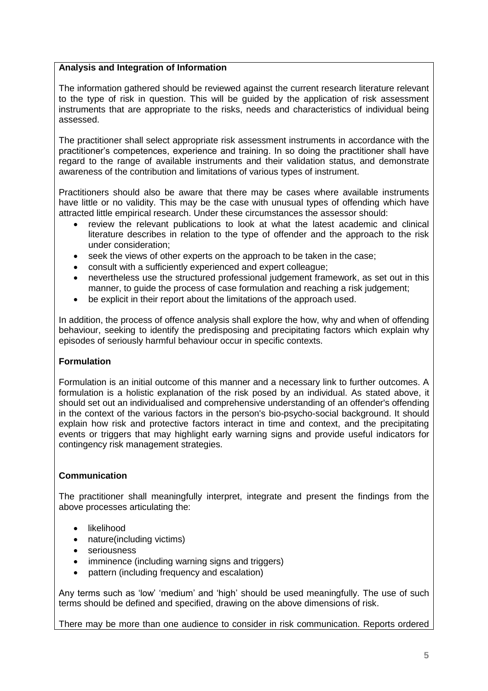# **Analysis and Integration of Information**

The information gathered should be reviewed against the current research literature relevant to the type of risk in question. This will be guided by the application of risk assessment instruments that are appropriate to the risks, needs and characteristics of individual being assessed.

The practitioner shall select appropriate risk assessment instruments in accordance with the practitioner's competences, experience and training. In so doing the practitioner shall have regard to the range of available instruments and their validation status, and demonstrate awareness of the contribution and limitations of various types of instrument.

Practitioners should also be aware that there may be cases where available instruments have little or no validity. This may be the case with unusual types of offending which have attracted little empirical research. Under these circumstances the assessor should:

- review the relevant publications to look at what the latest academic and clinical literature describes in relation to the type of offender and the approach to the risk under consideration;
- seek the views of other experts on the approach to be taken in the case;
- consult with a sufficiently experienced and expert colleague;
- nevertheless use the structured professional judgement framework, as set out in this manner, to guide the process of case formulation and reaching a risk judgement;
- be explicit in their report about the limitations of the approach used.

In addition, the process of offence analysis shall explore the how, why and when of offending behaviour, seeking to identify the predisposing and precipitating factors which explain why episodes of seriously harmful behaviour occur in specific contexts.

### **Formulation**

Formulation is an initial outcome of this manner and a necessary link to further outcomes. A formulation is a holistic explanation of the risk posed by an individual. As stated above, it should set out an individualised and comprehensive understanding of an offender's offending in the context of the various factors in the person's bio-psycho-social background. It should explain how risk and protective factors interact in time and context, and the precipitating events or triggers that may highlight early warning signs and provide useful indicators for contingency risk management strategies.

# **Communication**

The practitioner shall meaningfully interpret, integrate and present the findings from the above processes articulating the:

- likelihood
- nature(including victims)
- **•** seriousness
- imminence (including warning signs and triggers)
- pattern (including frequency and escalation)

Any terms such as 'low' 'medium' and 'high' should be used meaningfully. The use of such terms should be defined and specified, drawing on the above dimensions of risk.

There may be more than one audience to consider in risk communication. Reports ordered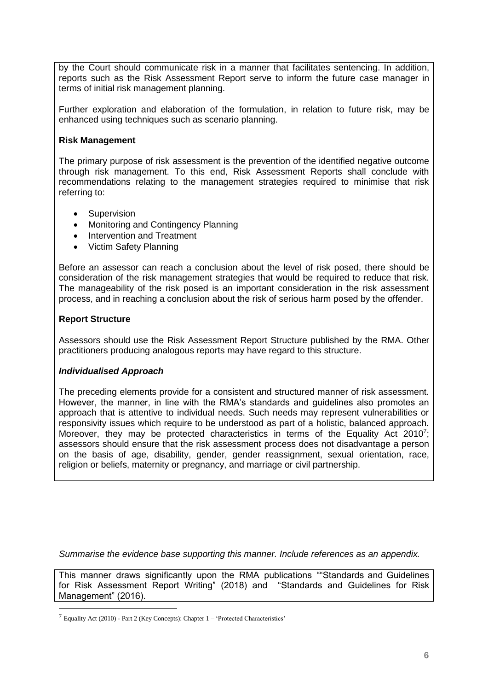by the Court should communicate risk in a manner that facilitates sentencing. In addition, reports such as the Risk Assessment Report serve to inform the future case manager in terms of initial risk management planning.

Further exploration and elaboration of the formulation, in relation to future risk, may be enhanced using techniques such as scenario planning.

## **Risk Management**

The primary purpose of risk assessment is the prevention of the identified negative outcome through risk management. To this end, Risk Assessment Reports shall conclude with recommendations relating to the management strategies required to minimise that risk referring to:

- Supervision
- Monitoring and Contingency Planning
- Intervention and Treatment
- Victim Safety Planning

Before an assessor can reach a conclusion about the level of risk posed, there should be consideration of the risk management strategies that would be required to reduce that risk. The manageability of the risk posed is an important consideration in the risk assessment process, and in reaching a conclusion about the risk of serious harm posed by the offender.

### **Report Structure**

Assessors should use the Risk Assessment Report Structure published by the RMA. Other practitioners producing analogous reports may have regard to this structure.

### *Individualised Approach*

The preceding elements provide for a consistent and structured manner of risk assessment. However, the manner, in line with the RMA's standards and guidelines also promotes an approach that is attentive to individual needs. Such needs may represent vulnerabilities or responsivity issues which require to be understood as part of a holistic, balanced approach. Moreover, they may be protected characteristics in terms of the Equality Act 2010<sup>7</sup>; assessors should ensure that the risk assessment process does not disadvantage a person on the basis of age, disability, gender, gender reassignment, sexual orientation, race, religion or beliefs, maternity or pregnancy, and marriage or civil partnership.

*Summarise the evidence base supporting this manner. Include references as an appendix.*

This manner draws significantly upon the RMA publications ""Standards and Guidelines for Risk Assessment Report Writing" (2018) and "Standards and Guidelines for Risk Management" (2016).

<sup>7</sup> Equality Act (2010) - Part 2 (Key Concepts): Chapter 1 – 'Protected Characteristics'